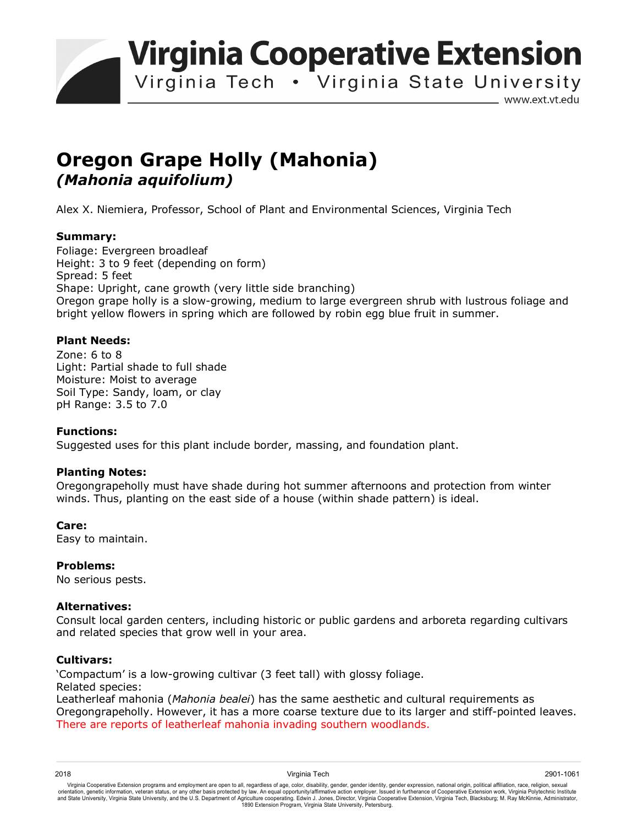**Virginia Cooperative Extension** 

Virginia Tech • Virginia State University

www.ext.vt.edu

# **Oregon Grape Holly (Mahonia)**  *(Mahonia aquifolium)*

Alex X. Niemiera, Professor, School of Plant and Environmental Sciences, Virginia Tech

### **Summary:**

Foliage: Evergreen broadleaf Height: 3 to 9 feet (depending on form) Spread: 5 feet Shape: Upright, cane growth (very little side branching) Oregon grape holly is a slow-growing, medium to large evergreen shrub with lustrous foliage and bright yellow flowers in spring which are followed by robin egg blue fruit in summer.

## **Plant Needs:**

Zone: 6 to 8 Light: Partial shade to full shade Moisture: Moist to average Soil Type: Sandy, loam, or clay pH Range: 3.5 to 7.0

#### **Functions:**

Suggested uses for this plant include border, massing, and foundation plant.

#### **Planting Notes:**

Oregongrapeholly must have shade during hot summer afternoons and protection from winter winds. Thus, planting on the east side of a house (within shade pattern) is ideal.

**Care:** Easy to maintain.

## **Problems:**

No serious pests.

#### **Alternatives:**

Consult local garden centers, including historic or public gardens and arboreta regarding cultivars and related species that grow well in your area.

#### **Cultivars:**

'Compactum' is a low-growing cultivar (3 feet tall) with glossy foliage. Related species:

Leatherleaf mahonia (*Mahonia bealei*) has the same aesthetic and cultural requirements as Oregongrapeholly. However, it has a more coarse texture due to its larger and stiff-pointed leaves. There are reports of leatherleaf mahonia invading southern woodlands.